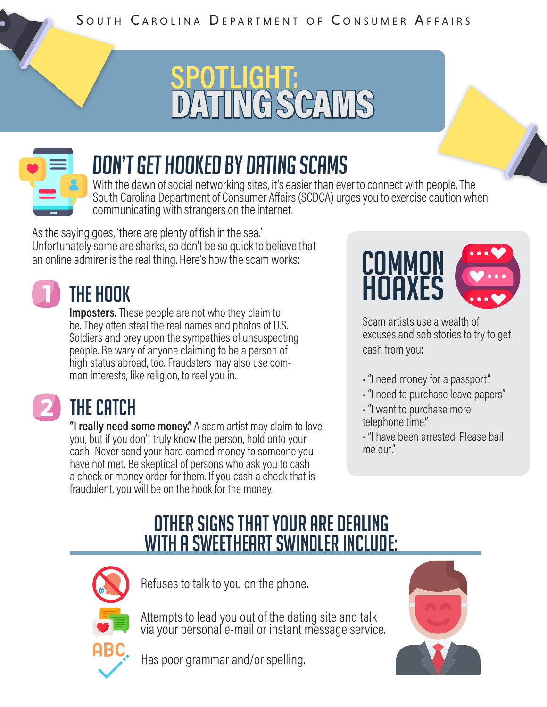# **SPOTLIGHT:**  $C/L$



## Don't get hooked by dating scams

With the dawn of social networking sites, it's easier than ever to connect with people. The South Carolina Department of Consumer Affairs (SCDCA) urges you to exercise caution when communicating with strangers on the internet.

As the saying goes, 'there are plenty of fish in the sea.' Unfortunately some are sharks, so don't be so quick to believe that an online admirer is the real thing. Here's how the scam works:  $\begin{CD} \mathbf{C} \mathbf{D} \mathbf{M} \mathbf{M} \mathbf{D} \mathbf{N} \end{CD}$ 



#### The Hook

**Imposters.** These people are not who they claim to be. They often steal the real names and photos of U.S. Soldiers and prey upon the sympathies of unsuspecting people. Be wary of anyone claiming to be a person of high status abroad, too. Fraudsters may also use com- mon interests, like religion, to reel you in.

#### THE CATCH

**"I really need some money."** A scam artist may claim to love you, but if you don't truly know the person, hold onto your cash! Never send your hard earned money to someone you have not met. Be skeptical of persons who ask you to cash a check or money order for them. If you cash a check that is fraudulent, you will be on the hook for the money.



Scam artists use a wealth of excuses and sob stories to try to get cash from you:

- "I need money for a passport."
- "I need to purchase leave papers"
- "I want to purchase more telephone time."
- "I have been arrested. Please bail me out."

#### Other signs that your are dealing with a sweetheart swindler include:



Refuses to talk to you on the phone.

Attempts to lead you out of the dating site and talk via your personal e-mail or instant message service.

Has poor grammar and/or spelling.